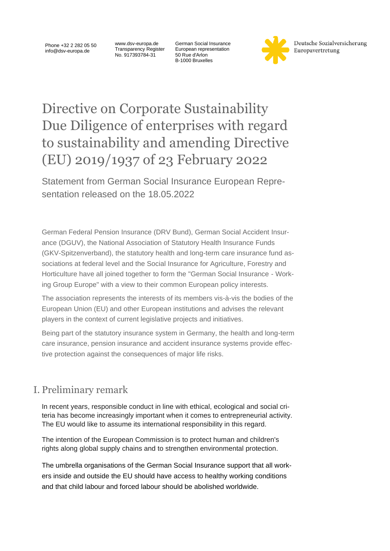Phone +32 2 282 05 50 info@dsv-europa.de

www.dsv-europa.de Transparency Register No. 917393784-31

German Social Insurance European representation 50 Rue d'Arlon B-1000 Bruxelles



Deutsche Sozialversicherung Europavertretung

## Directive on Corporate Sustainability Due Diligence of enterprises with regard to sustainability and amending Directive (EU) 2019/1937 of 23 February 2022

Statement from German Social Insurance European Representation released on the 18.05.2022

German Federal Pension Insurance (DRV Bund), German Social Accident Insurance (DGUV), the National Association of Statutory Health Insurance Funds (GKV-Spitzenverband), the statutory health and long-term care insurance fund associations at federal level and the Social Insurance for Agriculture, Forestry and Horticulture have all joined together to form the "German Social Insurance - Working Group Europe" with a view to their common European policy interests.

The association represents the interests of its members vis-à-vis the bodies of the European Union (EU) and other European institutions and advises the relevant players in the context of current legislative projects and initiatives.

Being part of the statutory insurance system in Germany, the health and long-term care insurance, pension insurance and accident insurance systems provide effective protection against the consequences of major life risks.

## I. Preliminary remark

In recent years, responsible conduct in line with ethical, ecological and social criteria has become increasingly important when it comes to entrepreneurial activity. The EU would like to assume its international responsibility in this regard.

The intention of the European Commission is to protect human and children's rights along global supply chains and to strengthen environmental protection.

The umbrella organisations of the German Social Insurance support that all workers inside and outside the EU should have access to healthy working conditions and that child labour and forced labour should be abolished worldwide.